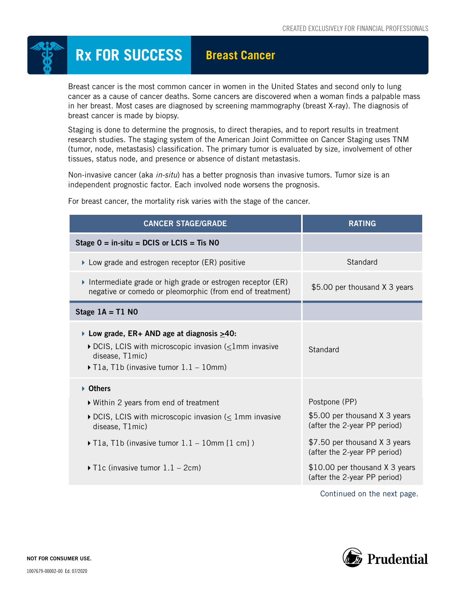

## **Rx FOR SUCCESS** Breast Cancer

Breast cancer is the most common cancer in women in the United States and second only to lung cancer as a cause of cancer deaths. Some cancers are discovered when a woman finds a palpable mass in her breast. Most cases are diagnosed by screening mammography (breast X-ray). The diagnosis of breast cancer is made by biopsy.

Staging is done to determine the prognosis, to direct therapies, and to report results in treatment research studies. The staging system of the American Joint Committee on Cancer Staging uses TNM (tumor, node, metastasis) classification. The primary tumor is evaluated by size, involvement of other tissues, status node, and presence or absence of distant metastasis.

Non-invasive cancer (aka *in-situ*) has a better prognosis than invasive tumors. Tumor size is an independent prognostic factor. Each involved node worsens the prognosis.

| <b>CANCER STAGE/GRADE</b>                                                                                                                                                                                | <b>RATING</b>                                                  |  |
|----------------------------------------------------------------------------------------------------------------------------------------------------------------------------------------------------------|----------------------------------------------------------------|--|
| Stage $0 =$ in-situ = DCIS or LCIS = Tis NO                                                                                                                                                              |                                                                |  |
| ▶ Low grade and estrogen receptor (ER) positive                                                                                                                                                          | Standard                                                       |  |
| Intermediate grade or high grade or estrogen receptor (ER)<br>negative or comedo or pleomorphic (from end of treatment)                                                                                  | \$5.00 per thousand X 3 years                                  |  |
| Stage $1A = T1 N0$                                                                                                                                                                                       |                                                                |  |
| ▶ Low grade, ER+ AND age at diagnosis $≥40$ :<br>$\triangleright$ DCIS, LCIS with microscopic invasion ( $\leq$ 1mm invasive<br>disease, T1mic)<br>$\triangleright$ T1a, T1b (invasive tumor 1.1 – 10mm) | Standard                                                       |  |
| ▶ Others                                                                                                                                                                                                 |                                                                |  |
| ▶ Within 2 years from end of treatment                                                                                                                                                                   | Postpone (PP)                                                  |  |
| $\triangleright$ DCIS, LCIS with microscopic invasion ( $\leq$ 1mm invasive<br>disease, T1mic)                                                                                                           | \$5.00 per thousand X 3 years<br>(after the 2-year PP period)  |  |
| $\triangleright$ T1a, T1b (invasive tumor 1.1 – 10mm [1 cm])                                                                                                                                             | \$7.50 per thousand X 3 years<br>(after the 2-year PP period)  |  |
| T1c (invasive tumor $1.1 - 2$ cm)                                                                                                                                                                        | \$10.00 per thousand X 3 years<br>(after the 2-year PP period) |  |
|                                                                                                                                                                                                          | $\sim$ $\sim$ $\sim$ $\sim$ $\sim$ $\sim$ $\sim$               |  |

For breast cancer, the mortality risk varies with the stage of the cancer.

Continued on the next page.

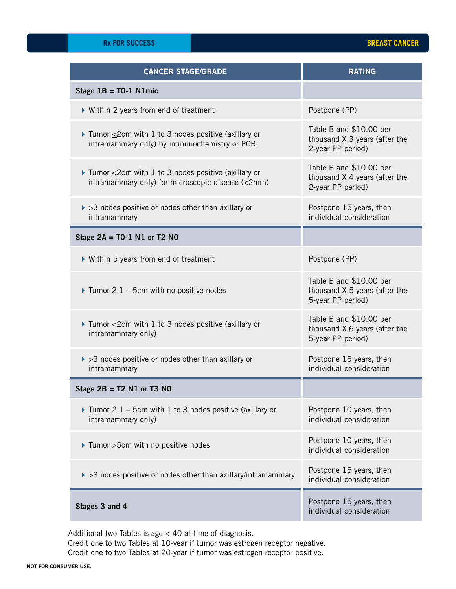| <b>CANCER STAGE/GRADE</b>                                                                                            | <b>RATING</b>                                                                 |  |
|----------------------------------------------------------------------------------------------------------------------|-------------------------------------------------------------------------------|--|
| Stage $1B = T0-1$ N1mic                                                                                              |                                                                               |  |
| ▶ Within 2 years from end of treatment                                                                               | Postpone (PP)                                                                 |  |
| Tumor $\leq$ 2cm with 1 to 3 nodes positive (axillary or<br>intramammary only) by immunochemistry or PCR             | Table B and \$10.00 per<br>thousand X 3 years (after the<br>2-year PP period) |  |
| Tumor $\leq$ 2cm with 1 to 3 nodes positive (axillary or<br>intramammary only) for microscopic disease ( $\leq$ 2mm) | Table B and \$10.00 per<br>thousand X 4 years (after the<br>2-year PP period) |  |
| $\triangleright$ >3 nodes positive or nodes other than axillary or<br>intramammary                                   | Postpone 15 years, then<br>individual consideration                           |  |
| Stage $2A = T0-1 N1$ or T2 N0                                                                                        |                                                                               |  |
| ▶ Within 5 years from end of treatment                                                                               | Postpone (PP)                                                                 |  |
| $\triangleright$ Tumor 2.1 – 5cm with no positive nodes                                                              | Table B and \$10.00 per<br>thousand X 5 years (after the<br>5-year PP period) |  |
| ▶ Tumor <2cm with 1 to 3 nodes positive (axillary or<br>intramammary only)                                           | Table B and \$10.00 per<br>thousand X 6 years (after the<br>5-year PP period) |  |
| $\triangleright$ >3 nodes positive or nodes other than axillary or<br>intramammary                                   | Postpone 15 years, then<br>individual consideration                           |  |
| Stage $2B = T2 N1$ or T3 N0                                                                                          |                                                                               |  |
| $\triangleright$ Tumor 2.1 – 5cm with 1 to 3 nodes positive (axillary or<br>intramammary only)                       | Postpone 10 years, then<br>individual consideration                           |  |
| ▶ Tumor > 5cm with no positive nodes                                                                                 | Postpone 10 years, then<br>individual consideration                           |  |
| $\triangleright$ >3 nodes positive or nodes other than axillary/intramammary                                         | Postpone 15 years, then<br>individual consideration                           |  |
| Stages 3 and 4                                                                                                       | Postpone 15 years, then<br>individual consideration                           |  |

Additional two Tables is age < 40 at time of diagnosis.

Credit one to two Tables at 10-year if tumor was estrogen receptor negative. Credit one to two Tables at 20-year if tumor was estrogen receptor positive.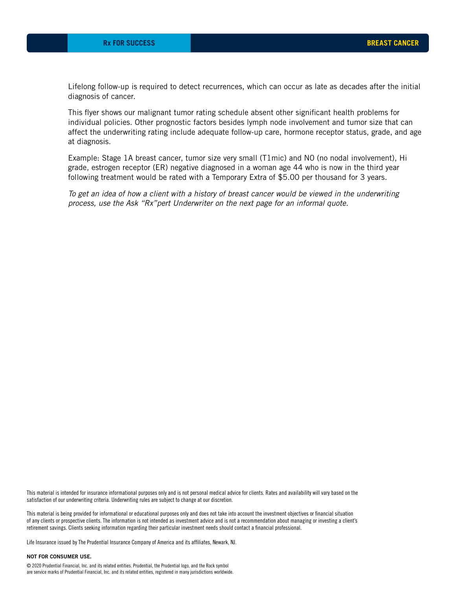Lifelong follow-up is required to detect recurrences, which can occur as late as decades after the initial diagnosis of cancer.

This flyer shows our malignant tumor rating schedule absent other significant health problems for individual policies. Other prognostic factors besides lymph node involvement and tumor size that can affect the underwriting rating include adequate follow-up care, hormone receptor status, grade, and age at diagnosis.

Example: Stage 1A breast cancer, tumor size very small (T1mic) and N0 (no nodal involvement), Hi grade, estrogen receptor (ER) negative diagnosed in a woman age 44 who is now in the third year following treatment would be rated with a Temporary Extra of \$5.00 per thousand for 3 years.

*To get an idea of how a client with a history of breast cancer would be viewed in the underwriting process, use the Ask "Rx"pert Underwriter on the next page for an informal quote.*

This material is intended for insurance informational purposes only and is not personal medical advice for clients. Rates and availability will vary based on the satisfaction of our underwriting criteria. Underwriting rules are subject to change at our discretion.

This material is being provided for informational or educational purposes only and does not take into account the investment objectives or financial situation of any clients or prospective clients. The information is not intended as investment advice and is not a recommendation about managing or investing a client's retirement savings. Clients seeking information regarding their particular investment needs should contact a financial professional.

Life Insurance issued by The Prudential Insurance Company of America and its affiliates, Newark, NJ.

## NOT FOR CONSUMER USE.

© 2020 Prudential Financial, Inc. and its related entities. Prudential, the Prudential logo, and the Rock symbol are service marks of Prudential Financial, Inc. and its related entities, registered in many jurisdictions worldwide.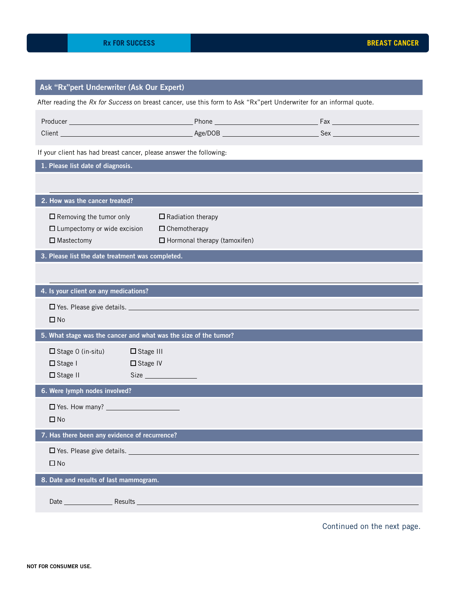| Ask "Rx"pert Underwriter (Ask Our Expert)                                                 |                                                                                                                     |  |  |  |  |
|-------------------------------------------------------------------------------------------|---------------------------------------------------------------------------------------------------------------------|--|--|--|--|
|                                                                                           | After reading the Rx for Success on breast cancer, use this form to Ask "Rx"pert Underwriter for an informal quote. |  |  |  |  |
|                                                                                           |                                                                                                                     |  |  |  |  |
| If your client has had breast cancer, please answer the following:                        |                                                                                                                     |  |  |  |  |
| 1. Please list date of diagnosis.                                                         |                                                                                                                     |  |  |  |  |
|                                                                                           |                                                                                                                     |  |  |  |  |
| 2. How was the cancer treated?                                                            |                                                                                                                     |  |  |  |  |
| $\Box$ Removing the tumor only<br>$\Box$ Lumpectomy or wide excision<br>$\Box$ Mastectomy | $\Box$ Radiation therapy<br>$\Box$ Chemotherapy<br>$\Box$ Hormonal therapy (tamoxifen)                              |  |  |  |  |
| 3. Please list the date treatment was completed.                                          |                                                                                                                     |  |  |  |  |
|                                                                                           |                                                                                                                     |  |  |  |  |
| 4. Is your client on any medications?                                                     |                                                                                                                     |  |  |  |  |
| $\square$ No                                                                              |                                                                                                                     |  |  |  |  |
| 5. What stage was the cancer and what was the size of the tumor?                          |                                                                                                                     |  |  |  |  |
| $\Box$ Stage O (in-situ)<br>$\Box$ Stage I<br>$\Box$ Stage II                             | $\Box$ Stage III<br>$\Box$ Stage IV                                                                                 |  |  |  |  |
| 6. Were lymph nodes involved?                                                             |                                                                                                                     |  |  |  |  |
| $\square$ No                                                                              |                                                                                                                     |  |  |  |  |
| 7. Has there been any evidence of recurrence?                                             |                                                                                                                     |  |  |  |  |
| $\Box$ No                                                                                 | $\Box$ Yes. Please give details.                                                                                    |  |  |  |  |
| 8. Date and results of last mammogram.                                                    |                                                                                                                     |  |  |  |  |
|                                                                                           | Date Results Results And Allen and Allen And Allen and Allen And Allen And Allen And Allen And Allen                |  |  |  |  |

Continued on the next page.